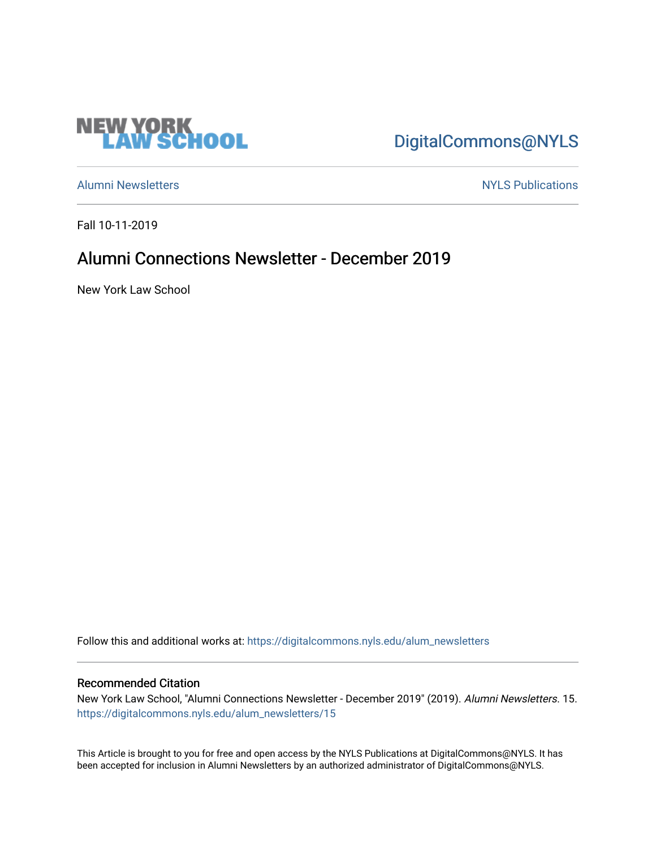

# [DigitalCommons@NYLS](https://digitalcommons.nyls.edu/)

[Alumni Newsletters](https://digitalcommons.nyls.edu/alum_newsletters) [NYLS Publications](https://digitalcommons.nyls.edu/nyls_pubs) 

Fall 10-11-2019

## Alumni Connections Newsletter - December 2019

New York Law School

Follow this and additional works at: [https://digitalcommons.nyls.edu/alum\\_newsletters](https://digitalcommons.nyls.edu/alum_newsletters?utm_source=digitalcommons.nyls.edu%2Falum_newsletters%2F15&utm_medium=PDF&utm_campaign=PDFCoverPages)

#### Recommended Citation

New York Law School, "Alumni Connections Newsletter - December 2019" (2019). Alumni Newsletters. 15. [https://digitalcommons.nyls.edu/alum\\_newsletters/15](https://digitalcommons.nyls.edu/alum_newsletters/15?utm_source=digitalcommons.nyls.edu%2Falum_newsletters%2F15&utm_medium=PDF&utm_campaign=PDFCoverPages) 

This Article is brought to you for free and open access by the NYLS Publications at DigitalCommons@NYLS. It has been accepted for inclusion in Alumni Newsletters by an authorized administrator of DigitalCommons@NYLS.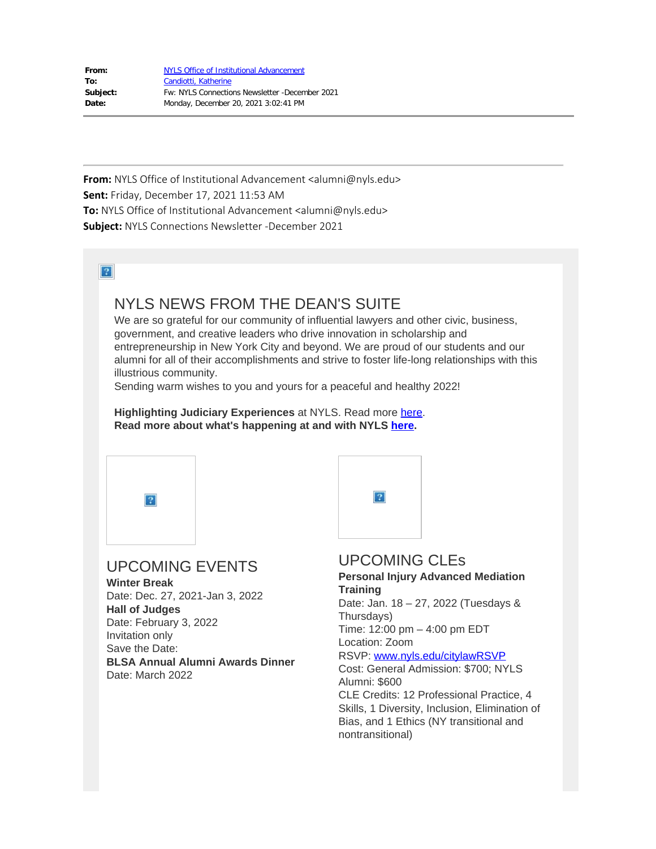| From:    | <b>NYLS Office of Institutional Advancement</b> |
|----------|-------------------------------------------------|
| To:      | Candiotti, Katherine                            |
| Subject: | Fw: NYLS Connections Newsletter -December 2021  |
| Date:    | Monday, December 20, 2021 3:02:41 PM            |

**From:** NYLS Office of Institutional Advancement <alumni@nyls.edu> **Sent:** Friday, December 17, 2021 11:53 AM **To:** NYLS Office of Institutional Advancement <alumni@nyls.edu> **Subject:** NYLS Connections Newsletter -December 2021

 $\boxed{?}$ 

### NYLS NEWS FROM THE DEAN'S SUITE

We are so grateful for our community of influential lawyers and other civic, business, government, and creative leaders who drive innovation in scholarship and entrepreneurship in New York City and beyond. We are proud of our students and our alumni for all of their accomplishments and strive to foster life-long relationships with this illustrious community.

Sending warm wishes to you and yours for a peaceful and healthy 2022!

**Highlighting Judiciary Experiences** at NYLS. Read more [here](https://nam04.safelinks.protection.outlook.com/?url=https%3A%2F%2Feml-pusa01.app.blackbaud.net%2Fintv2%2Fj%2F4FC5A8E2-A6C0-45A3-9DE3-314D11CD0378%2Fr%2F4FC5A8E2-A6C0-45A3-9DE3-314D11CD0378_a8ab5227-dc97-4d1d-94c3-a6c5e7495444%2Fl%2F6BB812C8-3D1F-4687-A74B-409E2222CFB8%2Fc&data=04%7C01%7Ckatherine.candiotti%40nyls.edu%7C7ca52bc6d3894e0899dc08d9c3f3abf1%7C45cfcfc7df844b9685bfb2c0c485fed6%7C0%7C0%7C637756273604874736%7CUnknown%7CTWFpbGZsb3d8eyJWIjoiMC4wLjAwMDAiLCJQIjoiV2luMzIiLCJBTiI6Ik1haWwiLCJXVCI6Mn0%3D%7C3000&sdata=O3%2BKtAtw%2FNyaSrBIvKB38jeyBzbckpXGXDuf6TA88cQ%3D&reserved=0). **Read more about what's happening at and with NYLS [here](https://nam04.safelinks.protection.outlook.com/?url=https%3A%2F%2Feml-pusa01.app.blackbaud.net%2Fintv2%2Fj%2F4FC5A8E2-A6C0-45A3-9DE3-314D11CD0378%2Fr%2F4FC5A8E2-A6C0-45A3-9DE3-314D11CD0378_a8ab5227-dc97-4d1d-94c3-a6c5e7495444%2Fl%2F04345E57-0F75-4DE9-AB28-79A1C543247C%2Fc&data=04%7C01%7Ckatherine.candiotti%40nyls.edu%7C7ca52bc6d3894e0899dc08d9c3f3abf1%7C45cfcfc7df844b9685bfb2c0c485fed6%7C0%7C0%7C637756273604884731%7CUnknown%7CTWFpbGZsb3d8eyJWIjoiMC4wLjAwMDAiLCJQIjoiV2luMzIiLCJBTiI6Ik1haWwiLCJXVCI6Mn0%3D%7C3000&sdata=wCLvinXkmVYUFjL%2FESflP48RRux7Ypm1%2BQO2kwD5uNA%3D&reserved=0).**



**Hall of Judges** Date: February 3, 2022 Invitation only Save the Date: **BLSA Annual Alumni Awards Dinner** Date: March 2022

### UPCOMING CLEs

**Personal Injury Advanced Mediation** Date: Jan. 18 – 27, 2022 (Tuesdays & Thursdays) Time: 12:00 pm – 4:00 pm EDT Location: Zoom RSVP: [www.nyls.edu/citylawRSVP](https://nam04.safelinks.protection.outlook.com/?url=https%3A%2F%2Feml-pusa01.app.blackbaud.net%2Fintv2%2Fj%2F4FC5A8E2-A6C0-45A3-9DE3-314D11CD0378%2Fr%2F4FC5A8E2-A6C0-45A3-9DE3-314D11CD0378_a8ab5227-dc97-4d1d-94c3-a6c5e7495444%2Fl%2F0356765A-0F3F-4F78-B5BA-C530CC513339%2Fc&data=04%7C01%7Ckatherine.candiotti%40nyls.edu%7C7ca52bc6d3894e0899dc08d9c3f3abf1%7C45cfcfc7df844b9685bfb2c0c485fed6%7C0%7C0%7C637756273604894728%7CUnknown%7CTWFpbGZsb3d8eyJWIjoiMC4wLjAwMDAiLCJQIjoiV2luMzIiLCJBTiI6Ik1haWwiLCJXVCI6Mn0%3D%7C3000&sdata=1ftHYPH7JdCO3sp7smR%2BFaMwieSTU8O5mcCg3T5vOPo%3D&reserved=0) Cost: General Admission: \$700; NYLS Alumni: \$600 CLE Credits: 12 Professional Practice, 4 Skills, 1 Diversity, Inclusion, Elimination of Bias, and 1 Ethics (NY transitional and nontransitional)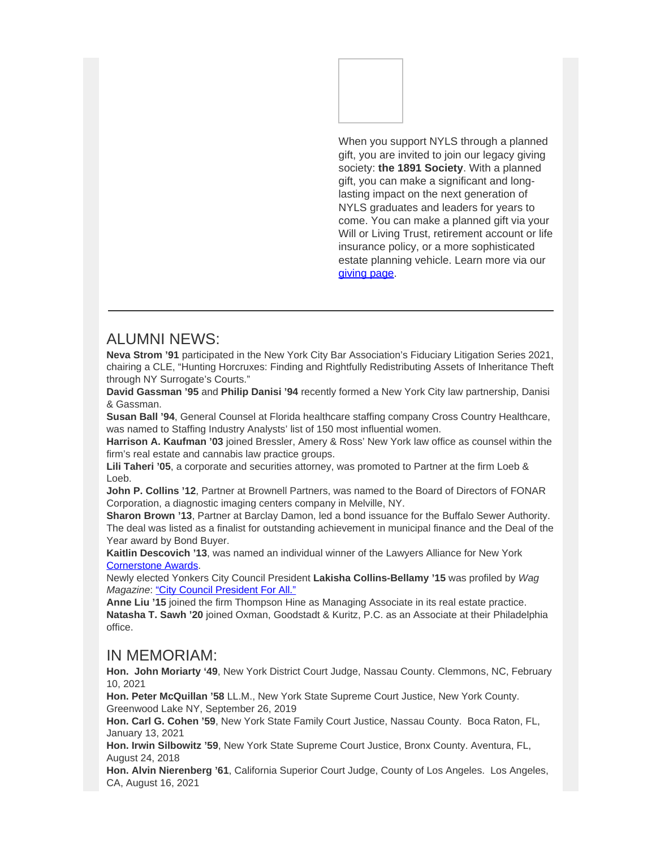

When you support NYLS through a planned gift, you are invited to join our legacy giving society: **the 1891 Society**. With a planned gift, you can make a significant and longlasting impact on the next generation of NYLS graduates and leaders for years to come. You can make a planned gift via your Will or Living Trust, retirement account or life insurance policy, or a more sophisticated estate planning vehicle. Learn more via our [giving page](https://nam04.safelinks.protection.outlook.com/?url=https%3A%2F%2Feml-pusa01.app.blackbaud.net%2Fintv2%2Fj%2F4FC5A8E2-A6C0-45A3-9DE3-314D11CD0378%2Fr%2F4FC5A8E2-A6C0-45A3-9DE3-314D11CD0378_a8ab5227-dc97-4d1d-94c3-a6c5e7495444%2Fl%2FFB5EE07F-C3FB-49A3-9657-B6A9E44EAD3E%2Fc&data=04%7C01%7Ckatherine.candiotti%40nyls.edu%7C7ca52bc6d3894e0899dc08d9c3f3abf1%7C45cfcfc7df844b9685bfb2c0c485fed6%7C0%7C0%7C637756273604914717%7CUnknown%7CTWFpbGZsb3d8eyJWIjoiMC4wLjAwMDAiLCJQIjoiV2luMzIiLCJBTiI6Ik1haWwiLCJXVCI6Mn0%3D%7C3000&sdata=j%2FKmXq%2Bwv5kNlBZXUZYPJRXdgbdCTHBT6Kp6TKQEuFw%3D&reserved=0).

### ALUMNI NEWS:

**Neva Strom '91** participated in the New York City Bar Association's Fiduciary Litigation Series 2021, chairing a CLE, "Hunting Horcruxes: Finding and Rightfully Redistributing Assets of Inheritance Theft through NY Surrogate's Courts."

**David Gassman '95** and **Philip Danisi '94** recently formed a New York City law partnership, Danisi & Gassman.

**Susan Ball '94**, General Counsel at Florida healthcare staffing company Cross Country Healthcare, was named to Staffing Industry Analysts' list of 150 most influential women.

**Harrison A. Kaufman '03** joined Bressler, Amery & Ross' New York law office as counsel within the firm's real estate and cannabis law practice groups.

**Lili Taheri '05**, a corporate and securities attorney, was promoted to Partner at the firm Loeb & Loeb.

**John P. Collins '12**, Partner at Brownell Partners, was named to the Board of Directors of FONAR Corporation, a diagnostic imaging centers company in Melville, NY.

**Sharon Brown '13**, Partner at Barclay Damon, led a bond issuance for the Buffalo Sewer Authority. The deal was listed as a finalist for outstanding achievement in municipal finance and the Deal of the Year award by Bond Buyer.

**Kaitlin Descovich '13**, was named an individual winner of the Lawyers Alliance for New York [Cornerstone Awards](https://nam04.safelinks.protection.outlook.com/?url=https%3A%2F%2Feml-pusa01.app.blackbaud.net%2Fintv2%2Fj%2F4FC5A8E2-A6C0-45A3-9DE3-314D11CD0378%2Fr%2F4FC5A8E2-A6C0-45A3-9DE3-314D11CD0378_a8ab5227-dc97-4d1d-94c3-a6c5e7495444%2Fl%2F09EAD1F0-B1B8-4864-8A59-DE14FBB1E64E%2Fc&data=04%7C01%7Ckatherine.candiotti%40nyls.edu%7C7ca52bc6d3894e0899dc08d9c3f3abf1%7C45cfcfc7df844b9685bfb2c0c485fed6%7C0%7C0%7C637756273604914717%7CUnknown%7CTWFpbGZsb3d8eyJWIjoiMC4wLjAwMDAiLCJQIjoiV2luMzIiLCJBTiI6Ik1haWwiLCJXVCI6Mn0%3D%7C3000&sdata=3FN7GwLWVSfVajhVScv8ccf6vunL3D6gxL2nnuF%2Br%2B8%3D&reserved=0).

Newly elected Yonkers City Council President **Lakisha Collins-Bellamy '15** was profiled by *Wag Magazine*: ["City Council President For All."](https://nam04.safelinks.protection.outlook.com/?url=https%3A%2F%2Feml-pusa01.app.blackbaud.net%2Fintv2%2Fj%2F4FC5A8E2-A6C0-45A3-9DE3-314D11CD0378%2Fr%2F4FC5A8E2-A6C0-45A3-9DE3-314D11CD0378_a8ab5227-dc97-4d1d-94c3-a6c5e7495444%2Fl%2F56574F90-FCD8-4ECC-8770-F523BF128F33%2Fc&data=04%7C01%7Ckatherine.candiotti%40nyls.edu%7C7ca52bc6d3894e0899dc08d9c3f3abf1%7C45cfcfc7df844b9685bfb2c0c485fed6%7C0%7C0%7C637756273604924707%7CUnknown%7CTWFpbGZsb3d8eyJWIjoiMC4wLjAwMDAiLCJQIjoiV2luMzIiLCJBTiI6Ik1haWwiLCJXVCI6Mn0%3D%7C3000&sdata=h6s%2B2UZzYLeY9De%2F7FZKZkKW10eNLdeIEQH5BLNFxUk%3D&reserved=0)

**Anne Liu '15** joined the firm Thompson Hine as Managing Associate in its real estate practice. **Natasha T. Sawh '20** joined Oxman, Goodstadt & Kuritz, P.C. as an Associate at their Philadelphia office.

#### IN MEMORIAM:

**Hon. John Moriarty '49**, New York District Court Judge, Nassau County. Clemmons, NC, February 10, 2021

**Hon. Peter McQuillan '58** LL.M., New York State Supreme Court Justice, New York County. Greenwood Lake NY, September 26, 2019

**Hon. Carl G. Cohen '59**, New York State Family Court Justice, Nassau County. Boca Raton, FL, January 13, 2021

**Hon. Irwin Silbowitz '59**, New York State Supreme Court Justice, Bronx County. Aventura, FL, August 24, 2018

**Hon. Alvin Nierenberg '61**, California Superior Court Judge, County of Los Angeles. Los Angeles, CA, August 16, 2021